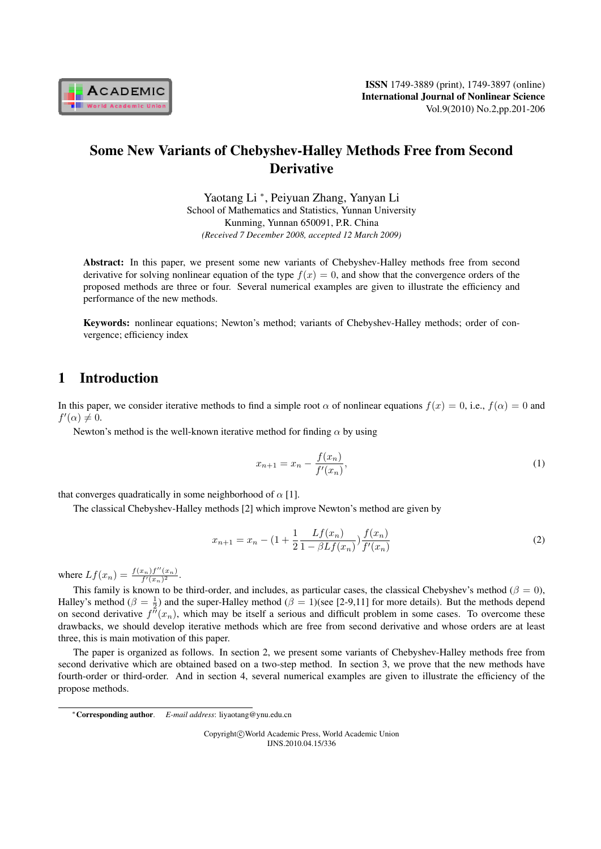

# Some New Variants of Chebyshev-Halley Methods Free from Second **Derivative**

Yaotang Li *<sup>∗</sup>* , Peiyuan Zhang, Yanyan Li School of Mathematics and Statistics, Yunnan University Kunming, Yunnan 650091, P.R. China *(Received 7 December 2008, accepted 12 March 2009)*

Abstract: In this paper, we present some new variants of Chebyshev-Halley methods free from second derivative for solving nonlinear equation of the type  $f(x) = 0$ , and show that the convergence orders of the proposed methods are three or four. Several numerical examples are given to illustrate the efficiency and performance of the new methods.

Keywords: nonlinear equations; Newton's method; variants of Chebyshev-Halley methods; order of convergence; efficiency index

## 1 Introduction

In this paper, we consider iterative methods to find a simple root  $\alpha$  of nonlinear equations  $f(x) = 0$ , i.e.,  $f(\alpha) = 0$  and  $f'(\alpha) \neq 0.$ 

Newton's method is the well-known iterative method for finding  $\alpha$  by using

$$
x_{n+1} = x_n - \frac{f(x_n)}{f'(x_n)},
$$
\n(1)

that converges quadratically in some neighborhood of  $\alpha$  [1].

The classical Chebyshev-Halley methods [2] which improve Newton's method are given by

$$
x_{n+1} = x_n - \left(1 + \frac{1}{2} \frac{Lf(x_n)}{1 - \beta L f(x_n)}\right) \frac{f(x_n)}{f'(x_n)}
$$
(2)

where  $Lf(x_n) = \frac{f(x_n)f''(x_n)}{f'(x_n)^2}$ .

This family is known to be third-order, and includes, as particular cases, the classical Chebyshev's method ( $\beta = 0$ ), Halley's method ( $\beta = \frac{1}{2}$ ) and the super-Halley method ( $\beta = 1$ )(see [2-9,11] for more details). But the methods depend on second derivative  $f''(x_n)$ , which may be itself a serious and difficult problem in some cases. To overcome these drawbacks, we should develop iterative methods which are free from second derivative and whose orders are at least three, this is main motivation of this paper.

The paper is organized as follows. In section 2, we present some variants of Chebyshev-Halley methods free from second derivative which are obtained based on a two-step method. In section 3, we prove that the new methods have fourth-order or third-order. And in section 4, several numerical examples are given to illustrate the efficiency of the propose methods.

Copyright*⃝*c World Academic Press, World Academic Union IJNS.2010.04.15/336

*<sup>∗</sup>*Corresponding author. *E-mail address*: liyaotang@ynu.edu.cn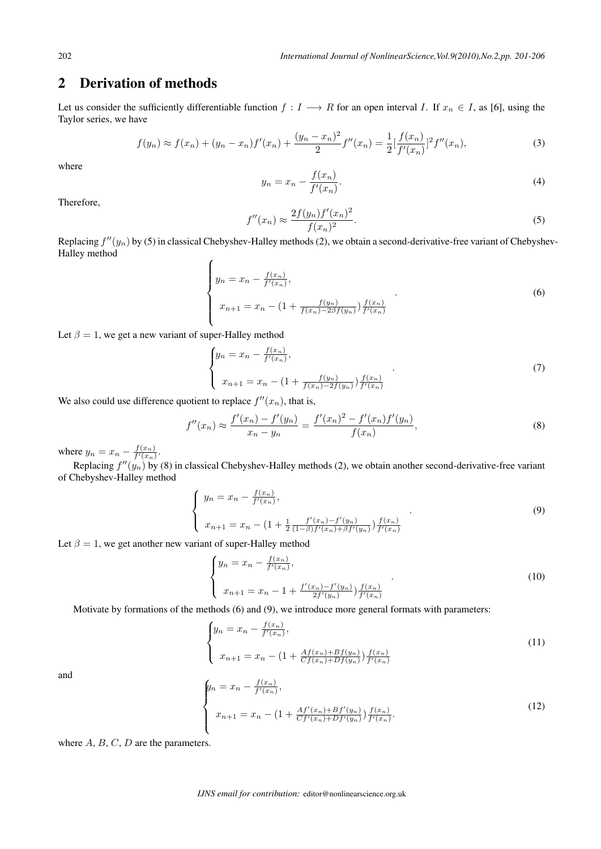## 2 Derivation of methods

Let us consider the sufficiently differentiable function  $f: I \longrightarrow R$  for an open interval I. If  $x_n \in I$ , as [6], using the Taylor series, we have

$$
f(y_n) \approx f(x_n) + (y_n - x_n)f'(x_n) + \frac{(y_n - x_n)^2}{2}f''(x_n) = \frac{1}{2} \left[ \frac{f(x_n)}{f'(x_n)} \right]^2 f''(x_n),\tag{3}
$$

where

$$
y_n = x_n - \frac{f(x_n)}{f'(x_n)}.
$$
 (4)

Therefore,

$$
f''(x_n) \approx \frac{2f(y_n)f'(x_n)^2}{f(x_n)^2}.
$$
\n(5)

Replacing  $f''(y_n)$  by (5) in classical Chebyshev-Halley methods (2), we obtain a second-derivative-free variant of Chebyshev-Halley method

$$
\begin{cases}\n y_n = x_n - \frac{f(x_n)}{f'(x_n)}, \\
x_{n+1} = x_n - \left(1 + \frac{f(y_n)}{f(x_n) - 2\beta f(y_n)}\right) \frac{f(x_n)}{f'(x_n)}\n \end{cases}
$$
\n(6)

Let  $\beta = 1$ , we get a new variant of super-Halley method

$$
\begin{cases}\n y_n = x_n - \frac{f(x_n)}{f'(x_n)}, \\
x_{n+1} = x_n - \left(1 + \frac{f(y_n)}{f(x_n) - 2f(y_n)}\right) \frac{f(x_n)}{f'(x_n)}\n\end{cases} (7)
$$

We also could use difference quotient to replace  $f''(x_n)$ , that is,

$$
f''(x_n) \approx \frac{f'(x_n) - f'(y_n)}{x_n - y_n} = \frac{f'(x_n)^2 - f'(x_n)f'(y_n)}{f(x_n)},
$$
\n(8)

where  $y_n = x_n - \frac{f(x_n)}{f'(x_n)}$ .

Replacing  $f''(y_n)$  by (8) in classical Chebyshev-Halley methods (2), we obtain another second-derivative-free variant of Chebyshev-Halley method

$$
\begin{cases}\n y_n = x_n - \frac{f(x_n)}{f'(x_n)}, \\
x_{n+1} = x_n - \left(1 + \frac{1}{2} \frac{f'(x_n) - f'(y_n)}{(1 - \beta)f'(x_n) + \beta f'(y_n)}\right) \frac{f(x_n)}{f'(x_n)}\n\end{cases}
$$
\n(9)

Let  $\beta = 1$ , we get another new variant of super-Halley method

$$
\begin{cases}\n y_n = x_n - \frac{f(x_n)}{f'(x_n)}, \\
x_{n+1} = x_n - 1 + \frac{f'(x_n) - f'(y_n)}{2f'(y_n)} \frac{f(x_n)}{f'(x_n)}\n\end{cases} \tag{10}
$$

Motivate by formations of the methods (6) and (9), we introduce more general formats with parameters:

$$
\begin{cases}\n y_n = x_n - \frac{f(x_n)}{f'(x_n)}, \\
x_{n+1} = x_n - \left(1 + \frac{Af(x_n) + Bf(y_n)}{Cf(x_n) + Df(y_n)}\right) \frac{f(x_n)}{f'(x_n)}\n \end{cases}
$$
\n(11)

and

$$
\begin{cases}\n y_n = x_n - \frac{f(x_n)}{f'(x_n)}, \\
x_{n+1} = x_n - \left(1 + \frac{Af'(x_n) + Bf'(y_n)}{Cf'(x_n) + Df'(y_n)}\right) \frac{f(x_n)}{f'(x_n)}.\n \end{cases} \tag{12}
$$

where  $A, B, C, D$  are the parameters.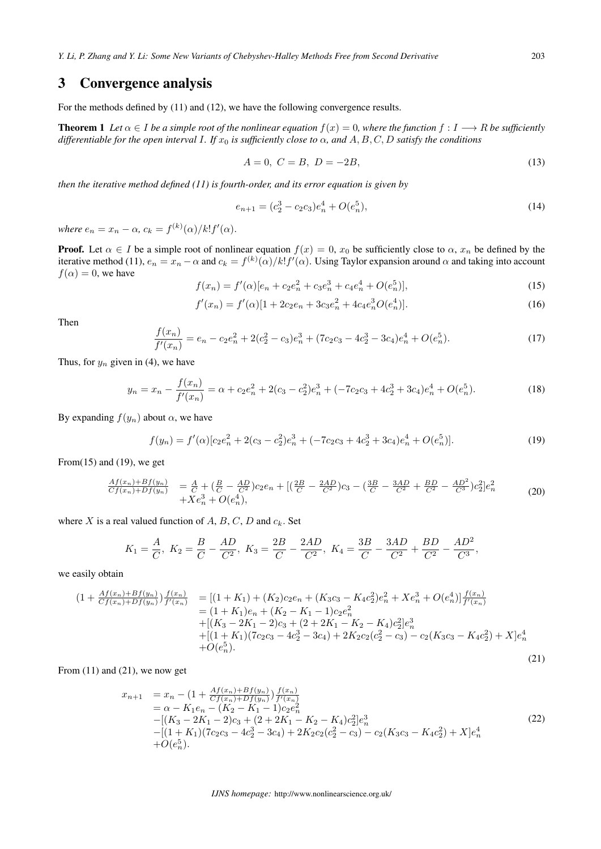## 3 Convergence analysis

For the methods defined by (11) and (12), we have the following convergence results.

**Theorem 1** Let  $\alpha \in I$  be a simple root of the nonlinear equation  $f(x) = 0$ , where the function  $f : I \longrightarrow R$  be sufficiently *differentiable for the open interval I. If*  $x_0$  *is sufficiently close to*  $\alpha$ *, and*  $A, B, C, D$  *satisfy the conditions* 

$$
A = 0, C = B, D = -2B,
$$
\n(13)

*then the iterative method defined (11) is fourth-order, and its error equation is given by*

$$
e_{n+1} = (c_2^3 - c_2 c_3) e_n^4 + O(e_n^5),\tag{14}
$$

*where*  $e_n = x_n - \alpha$ ,  $c_k = f^{(k)}(\alpha)/k!f'(\alpha)$ .

**Proof.** Let  $\alpha \in I$  be a simple root of nonlinear equation  $f(x) = 0$ ,  $x_0$  be sufficiently close to  $\alpha$ ,  $x_n$  be defined by the iterative method (11),  $e_n = x_n - \alpha$  and  $c_k = f^{(k)}(\alpha)/k! f'(\alpha)$ . Using Taylor expansion around  $\alpha$  and taking into account  $f(\alpha) = 0$ , we have

$$
f(x_n) = f'(\alpha)[e_n + c_2 e_n^2 + c_3 e_n^3 + c_4 e_n^4 + O(e_n^5)],
$$
\n(15)

$$
f'(x_n) = f'(\alpha)[1 + 2c_2e_n + 3c_3e_n^2 + 4c_4e_n^3O(e_n^4)].
$$
\n(16)

Then

$$
\frac{f(x_n)}{f'(x_n)} = e_n - c_2 e_n^2 + 2(c_2^2 - c_3)e_n^3 + (7c_2c_3 - 4c_2^3 - 3c_4)e_n^4 + O(e_n^5).
$$
\n(17)

Thus, for  $y_n$  given in (4), we have

$$
y_n = x_n - \frac{f(x_n)}{f'(x_n)} = \alpha + c_2 e_n^2 + 2(c_3 - c_2^2)e_n^3 + (-7c_2c_3 + 4c_2^3 + 3c_4)e_n^4 + O(e_n^5).
$$
 (18)

By expanding  $f(y_n)$  about  $\alpha$ , we have

$$
f(y_n) = f'(\alpha)[c_2e_n^2 + 2(c_3 - c_2^2)e_n^3 + (-7c_2c_3 + 4c_2^3 + 3c_4)e_n^4 + O(e_n^5)].
$$
\n(19)

From $(15)$  and  $(19)$ , we get

$$
\frac{Af(x_n)+Bf(y_n)}{Cf(x_n)+Df(y_n)} = \frac{A}{C} + (\frac{B}{C} - \frac{AD}{C^2})c_2e_n + [(\frac{2B}{C} - \frac{2AD}{C^2})c_3 - (\frac{3B}{C} - \frac{3AD}{C^2} + \frac{BD}{C^2} - \frac{AD^2}{C^3})c_2^2]e_n^2 + Xe_n^3 + O(e_n^4),
$$
\n(20)

where  $X$  is a real valued function of  $A$ ,  $B$ ,  $C$ ,  $D$  and  $c_k$ . Set

$$
K_1=\frac{A}{C},\ K_2=\frac{B}{C}-\frac{AD}{C^2},\ K_3=\frac{2B}{C}-\frac{2AD}{C^2},\ K_4=\frac{3B}{C}-\frac{3AD}{C^2}+\frac{BD}{C^2}-\frac{AD^2}{C^3},
$$

we easily obtain

$$
(1 + \frac{Af(x_n) + Bf(y_n)}{Cf(x_n) + Df(y_n)}) \frac{f(x_n)}{f'(x_n)} = [(1 + K_1) + (K_2)c_2e_n + (K_3c_3 - K_4c_2^2)e_n^2 + Xe_n^3 + O(e_n^4)] \frac{f(x_n)}{f'(x_n)}
$$
  
\n
$$
= (1 + K_1)e_n + (K_2 - K_1 - 1)c_2e_n^2
$$
  
\n
$$
+ [(K_3 - 2K_1 - 2)c_3 + (2 + 2K_1 - K_2 - K_4)c_2^2]e_n^3
$$
  
\n
$$
+ [(1 + K_1)(7c_2c_3 - 4c_2^3 - 3c_4) + 2K_2c_2(c_2^2 - c_3) - c_2(K_3c_3 - K_4c_2^2) + X]e_n^4
$$
  
\n
$$
+ O(e_n^5).
$$
\n(21)

From (11) and (21), we now get

$$
x_{n+1} = x_n - (1 + \frac{Af(x_n) + Bf(y_n)}{Cf(x_n) + Df(y_n)}) \frac{f(x_n)}{f'(x_n)}
$$
  
\n
$$
= \alpha - K_1 e_n - (K_2 - K_1 - 1)c_2 e_n^2
$$
  
\n
$$
-[(K_3 - 2K_1 - 2)c_3 + (2 + 2K_1 - K_2 - K_4)c_2^2]e_n^3
$$
  
\n
$$
-[ (1 + K_1)(7c_2c_3 - 4c_2^3 - 3c_4) + 2K_2c_2(c_2^2 - c_3) - c_2(K_3c_3 - K_4c_2^2) + X]e_n^4
$$
  
\n
$$
+ O(e_n^5).
$$
\n(22)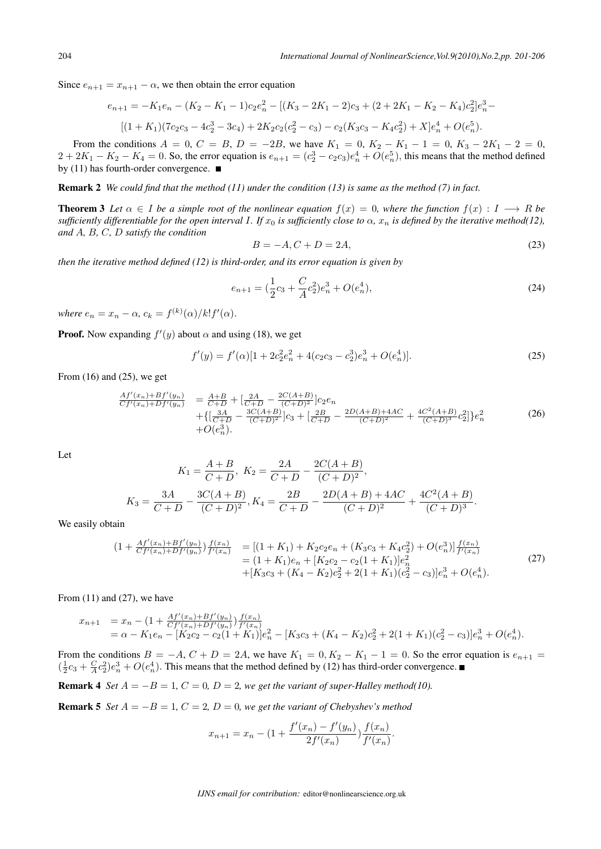Since  $e_{n+1} = x_{n+1} - \alpha$ , we then obtain the error equation

$$
e_{n+1} = -K_1e_n - (K_2 - K_1 - 1)c_2e_n^2 - [(K_3 - 2K_1 - 2)c_3 + (2 + 2K_1 - K_2 - K_4)c_2^2]e_n^3 - [(1 + K_1)(7c_2c_3 - 4c_2^3 - 3c_4) + 2K_2c_2(c_2^2 - c_3) - c_2(K_3c_3 - K_4c_2^2) + X]e_n^4 + O(e_n^5).
$$

From the conditions  $A = 0$ ,  $C = B$ ,  $D = -2B$ , we have  $K_1 = 0$ ,  $K_2 - K_1 - 1 = 0$ ,  $K_3 - 2K_1 - 2 = 0$ ,  $2 + 2K_1 - K_2 - K_4 = 0$ . So, the error equation is  $e_{n+1} = (c_2^3 - c_2c_3)e_n^4 + O(e_n^5)$ , this means that the method defined by (11) has fourth-order convergence.

Remark 2 *We could find that the method (11) under the condition (13) is same as the method (7) in fact.*

**Theorem 3** Let  $\alpha \in I$  be a simple root of the nonlinear equation  $f(x) = 0$ , where the function  $f(x) : I \longrightarrow R$  be sufficiently differentiable for the open interval I. If  $x_0$  is sufficiently close to  $\alpha$ ,  $x_n$  is defined by the iterative method(12), *and A*, *B*, *C*, *D satisfy the condition* 

$$
B = -A, C + D = 2A,\tag{23}
$$

*then the iterative method defined (12) is third-order, and its error equation is given by*

$$
e_{n+1} = \left(\frac{1}{2}c_3 + \frac{C}{A}c_2^2\right)e_n^3 + O(e_n^4),\tag{24}
$$

*where*  $e_n = x_n - \alpha$ ,  $c_k = f^{(k)}(\alpha)/k!f'(\alpha)$ .

**Proof.** Now expanding  $f'(y)$  about  $\alpha$  and using (18), we get

$$
f'(y) = f'(\alpha)[1 + 2c_2^2 e_n^2 + 4(c_2 c_3 - c_2^3)e_n^3 + O(e_n^4)].
$$
\n(25)

From  $(16)$  and  $(25)$ , we get

$$
\frac{Af'(x_n) + Bf'(y_n)}{Cf'(x_n) + Df'(y_n)} = \frac{A+B}{C+D} + \left[\frac{2A}{C+D} - \frac{2C(A+B)}{(C+D)^2}\right]c_2e_n
$$
\n
$$
+ \left\{\left[\frac{3A}{C+D} - \frac{3C(A+B)}{(C+D)^2}\right]c_3 + \left[\frac{2B}{C+D} - \frac{2D(A+B)+4AC}{(C+D)^2} + \frac{4C^2(A+B)}{(C+D)^3}c_2^2\right]\right\}e_n^2
$$
\n
$$
+ O(e_n^3).
$$
\n(26)

Let

$$
K_1 = \frac{A+B}{C+D}, \ K_2 = \frac{2A}{C+D} - \frac{2C(A+B)}{(C+D)^2},
$$
  

$$
K_3 = \frac{3A}{C+D} - \frac{3C(A+B)}{(C+D)^2}, \ K_4 = \frac{2B}{C+D} - \frac{2D(A+B) + 4AC}{(C+D)^2} + \frac{4C^2(A+B)}{(C+D)^3}.
$$

We easily obtain

$$
(1 + \frac{Af'(x_n) + Bf'(y_n)}{Cf'(x_n) + Df'(y_n)})\frac{f(x_n)}{f'(x_n)} = [(1 + K_1) + K_2c_2e_n + (K_3c_3 + K_4c_2^2) + O(e_n^3)]\frac{f(x_n)}{f'(x_n)} = (1 + K_1)e_n + [K_2c_2 - c_2(1 + K_1)]e_n^2 + [K_3c_3 + (K_4 - K_2)c_2^2 + 2(1 + K_1)(c_2^2 - c_3)]e_n^3 + O(e_n^4).
$$
\n(27)

From  $(11)$  and  $(27)$ , we have

$$
x_{n+1} = x_n - (1 + \frac{Af'(x_n) + Bf'(y_n)}{Cf'(x_n) + Df'(y_n)}) \frac{f(x_n)}{f'(x_n)}
$$
  
=  $\alpha - K_1 e_n - [K_2 c_2 - c_2 (1 + K_1)] e_n^2 - [K_3 c_3 + (K_4 - K_2) c_2^2 + 2(1 + K_1)(c_2^2 - c_3)] e_n^3 + O(e_n^4).$ 

From the conditions  $B = -A$ ,  $C + D = 2A$ , we have  $K_1 = 0$ ,  $K_2 - K_1 - 1 = 0$ . So the error equation is  $e_{n+1} =$  $(\frac{1}{2}c_3 + \frac{C}{A}c_2^2)e_n^3 + O(e_n^4)$ . This means that the method defined by (12) has third-order convergence.

**Remark 4** *Set*  $A = -B = 1$ ,  $C = 0$ ,  $D = 2$ , we get the variant of super-Halley method(10).

**Remark 5** *Set*  $A = -B = 1$ ,  $C = 2$ ,  $D = 0$ , we get the variant of Chebyshev's method

$$
x_{n+1} = x_n - (1 + \frac{f'(x_n) - f'(y_n)}{2f'(x_n)}) \frac{f(x_n)}{f'(x_n)}.
$$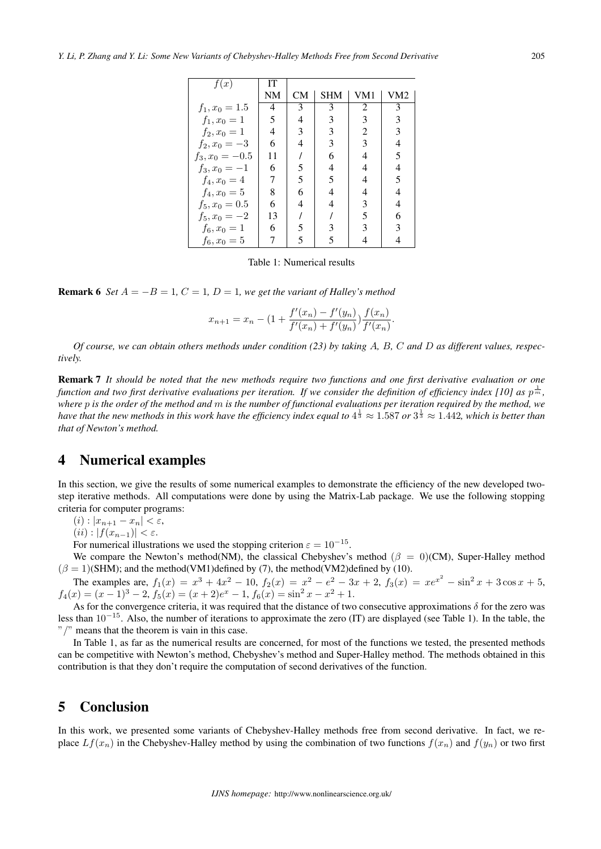| f(x)              | IТ |           |            |                |     |
|-------------------|----|-----------|------------|----------------|-----|
|                   | NM | <b>CM</b> | <b>SHM</b> | VM1            | VM2 |
| $f_1, x_0 = 1.5$  | 4  | 3         | 3          | 2              | 3   |
| $f_1, x_0 = 1$    | 5  | 4         | 3          | 3              | 3   |
| $f_2, x_0 = 1$    | 4  | 3         | 3          | $\overline{2}$ | 3   |
| $f_2, x_0 = -3$   | 6  | 4         | 3          | 3              | 4   |
| $f_3, x_0 = -0.5$ | 11 |           | 6          | 4              | 5   |
| $f_3, x_0 = -1$   | 6  | 5         | 4          | 4              | 4   |
| $f_4, x_0 = 4$    | 7  | 5         | 5          | 4              | 5   |
| $f_4, x_0 = 5$    | 8  | 6         | 4          | 4              | 4   |
| $f_5, x_0 = 0.5$  | 6  | 4         | 4          | 3              | 4   |
| $f_5, x_0 = -2$   | 13 |           |            | 5              | 6   |
| $f_6, x_0 = 1$    | 6  | 5         |            | 3              | 3   |
| $f_6, x_0 = 5$    | 7  | 5         | 5          |                |     |

Table 1: Numerical results

**Remark 6** *Set*  $A = -B = 1$ ,  $C = 1$ ,  $D = 1$ , we get the variant of Halley's method

$$
x_{n+1} = x_n - \left(1 + \frac{f'(x_n) - f'(y_n)}{f'(x_n) + f'(y_n)}\right) \frac{f(x_n)}{f'(x_n)}.
$$

*Of course, we can obtain others methods under condition (23) by taking , , and as different values, respectively.*

Remark 7 *It should be noted that the new methods require two functions and one first derivative evaluation or one* function and two first derivative evaluations per iteration. If we consider the definition of efficiency index [10] as  $p^{\frac{1}{m}}$ , *where is the order of the method and is the number of functional evaluations per iteration required by the method, we* have that the new methods in this work have the efficiency index equal to  $4^{\frac13} \approx 1.587$  or  $3^{\frac13} \approx 1.442$ , which is better than *that of Newton's method.*

#### 4 Numerical examples

In this section, we give the results of some numerical examples to demonstrate the efficiency of the new developed twostep iterative methods. All computations were done by using the Matrix-Lab package. We use the following stopping criteria for computer programs:

 $(i)$  :  $|x_{n+1} - x_n| < \varepsilon$ ,

 $(iii)$  :  $|f(x_{n-1})| < \varepsilon$ .

For numerical illustrations we used the stopping criterion  $\varepsilon = 10^{-15}$ .

We compare the Newton's method(NM), the classical Chebyshev's method ( $\beta = 0$ )(CM), Super-Halley method  $(\beta = 1)$ (SHM); and the method(VM1)defined by (7), the method(VM2)defined by (10).

The examples are,  $f_1(x) = x^3 + 4x^2 - 10$ ,  $f_2(x) = x^2 - e^2 - 3x + 2$ ,  $f_3(x) = xe^{x^2} - \sin^2 x + 3\cos x + 5$ ,  $f_4(x) = (x-1)^3 - 2$ ,  $f_5(x) = (x+2)e^x - 1$ ,  $f_6(x) = \sin^2 x - x^2 + 1$ .

As for the convergence criteria, it was required that the distance of two consecutive approximations  $\delta$  for the zero was less than 10*−*<sup>15</sup>. Also, the number of iterations to approximate the zero (IT) are displayed (see Table 1). In the table, the "*/*" means that the theorem is vain in this case.

In Table 1, as far as the numerical results are concerned, for most of the functions we tested, the presented methods can be competitive with Newton's method, Chebyshev's method and Super-Halley method. The methods obtained in this contribution is that they don't require the computation of second derivatives of the function.

### 5 Conclusion

In this work, we presented some variants of Chebyshev-Halley methods free from second derivative. In fact, we replace  $Lf(x_n)$  in the Chebyshev-Halley method by using the combination of two functions  $f(x_n)$  and  $f(y_n)$  or two first